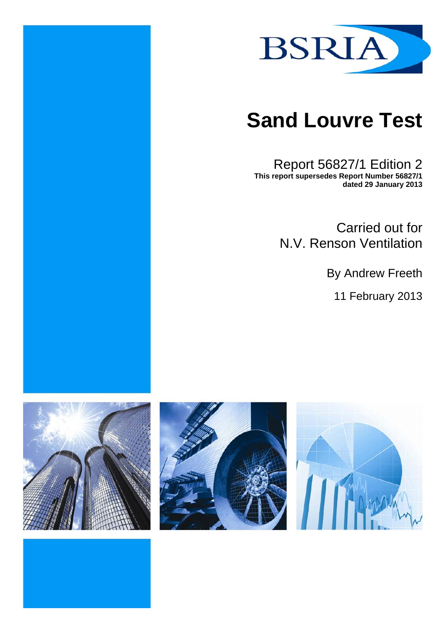

# **Sand Louvre Test**

Report 56827/1 Edition 2 **This report supersedes Report Number 56827/1 dated 29 January 2013** 

> Carried out for N.V. Renson Ventilation

> > By Andrew Freeth

11 February 2013





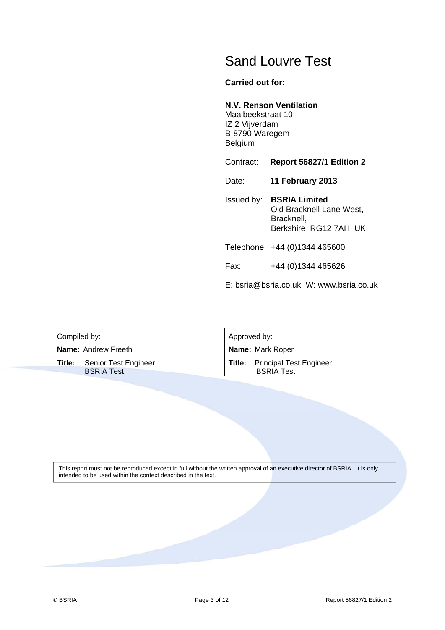## Sand Louvre Test

#### **Carried out for:**

#### **N.V. Renson Ventilation**

Maalbeekstraat 10 IZ 2 Vijverdam B-8790 Waregem Belgium

Contract: **Report 56827/1 Edition 2**

Date: **11 February 2013**

Issued by: **BSRIA Limited** Old Bracknell Lane West, Bracknell, Berkshire RG12 7AH UK

Telephone: +44 (0)1344 465600

Fax: +44 (0)1344 465626

E: bsria@bsria.co.uk W: www.bsria.co.uk

| Compiled by:               |                                           | Approved by:            |                                                            |
|----------------------------|-------------------------------------------|-------------------------|------------------------------------------------------------|
| <b>Name: Andrew Freeth</b> |                                           | <b>Name: Mark Roper</b> |                                                            |
| Title:                     | Senior Test Engineer<br><b>BSRIA Test</b> |                         | <b>Title:</b> Principal Test Engineer<br><b>BSRIA Test</b> |

This report must not be reproduced except in full without the written approval of an executive director of BSRIA. It is only intended to be used within the context described in the text.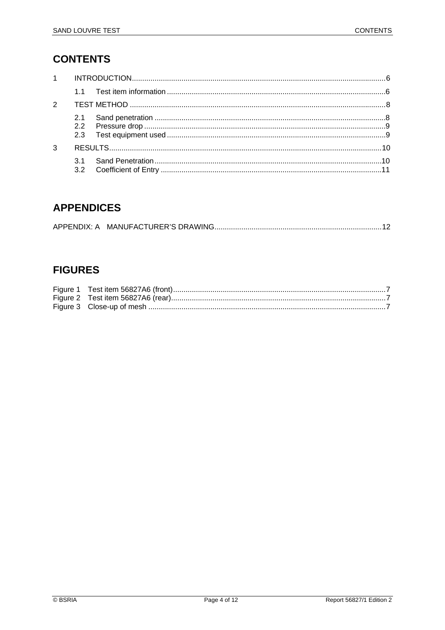## **CONTENTS**

| $1 \quad$     |                   |  |
|---------------|-------------------|--|
|               |                   |  |
| $\mathcal{P}$ |                   |  |
|               | 2.1<br>2.2<br>2.3 |  |
| 3             |                   |  |
|               | 32                |  |

## **APPENDICES**

## **FIGURES**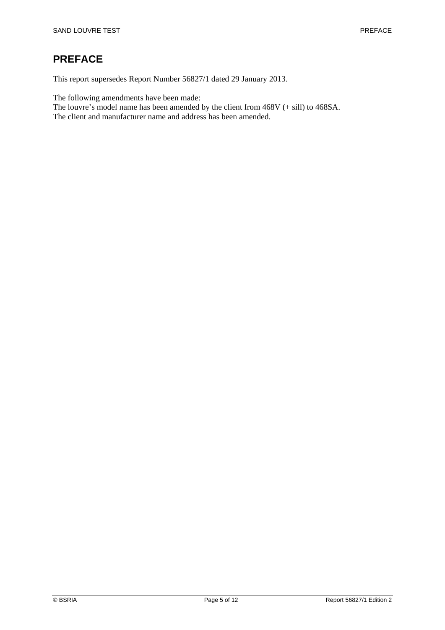## **PREFACE**

This report supersedes Report Number 56827/1 dated 29 January 2013.

The following amendments have been made:

The louvre's model name has been amended by the client from 468V (+ sill) to 468SA.

The client and manufacturer name and address has been amended.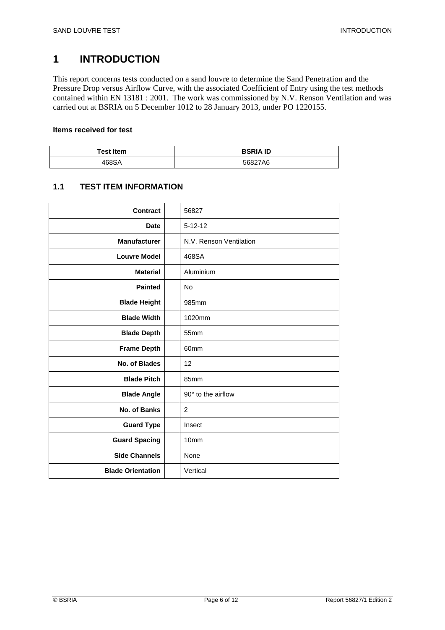## **1 INTRODUCTION**

This report concerns tests conducted on a sand louvre to determine the Sand Penetration and the Pressure Drop versus Airflow Curve, with the associated Coefficient of Entry using the test methods contained within EN 13181 : 2001. The work was commissioned by N.V. Renson Ventilation and was carried out at BSRIA on 5 December 1012 to 28 January 2013, under PO 1220155.

#### **Items received for test**

| <b>Test Item</b> | <b>BSRIA ID</b> |
|------------------|-----------------|
| 468SA            | 56827A6         |

#### **1.1 TEST ITEM INFORMATION**

| Contract                 | 56827                   |
|--------------------------|-------------------------|
| <b>Date</b>              | $5 - 12 - 12$           |
| <b>Manufacturer</b>      | N.V. Renson Ventilation |
| <b>Louvre Model</b>      | 468SA                   |
| <b>Material</b>          | Aluminium               |
| <b>Painted</b>           | <b>No</b>               |
| <b>Blade Height</b>      | 985mm                   |
| <b>Blade Width</b>       | 1020mm                  |
| <b>Blade Depth</b>       | 55mm                    |
| <b>Frame Depth</b>       | 60mm                    |
| No. of Blades            | 12                      |
| <b>Blade Pitch</b>       | 85mm                    |
| <b>Blade Angle</b>       | 90° to the airflow      |
| No. of Banks             | $\overline{c}$          |
| <b>Guard Type</b>        | Insect                  |
| <b>Guard Spacing</b>     | 10 <sub>mm</sub>        |
| <b>Side Channels</b>     | None                    |
| <b>Blade Orientation</b> | Vertical                |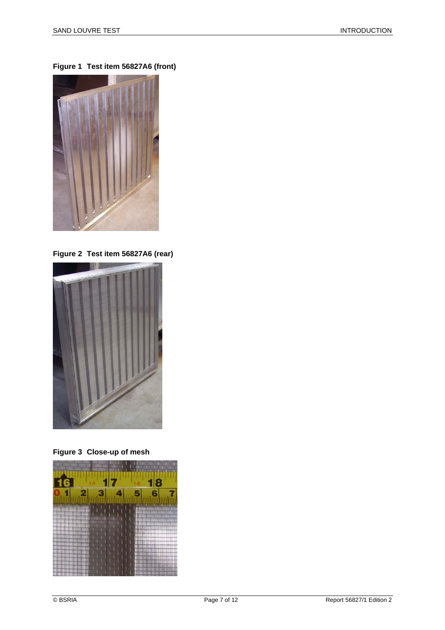**Figure 1 Test item 56827A6 (front)** 



**Figure 2 Test item 56827A6 (rear)** 



**Figure 3 Close-up of mesh** 

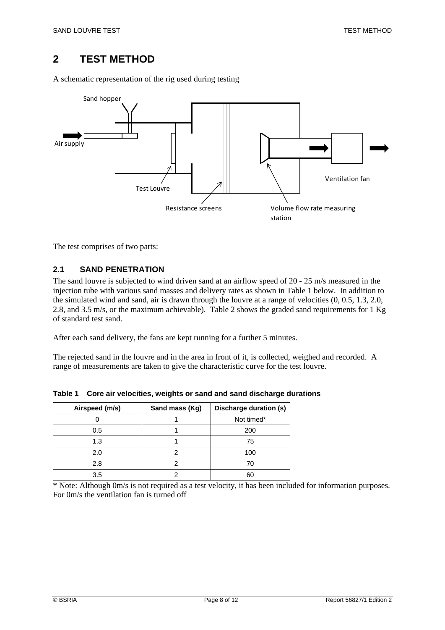### **2 TEST METHOD**

A schematic representation of the rig used during testing



The test comprises of two parts:

#### **2.1 SAND PENETRATION**

The sand louvre is subjected to wind driven sand at an airflow speed of 20 - 25 m/s measured in the injection tube with various sand masses and delivery rates as shown in Table 1 below. In addition to the simulated wind and sand, air is drawn through the louvre at a range of velocities (0, 0.5, 1.3, 2.0, 2.8, and 3.5 m/s, or the maximum achievable). Table 2 shows the graded sand requirements for 1 Kg of standard test sand.

After each sand delivery, the fans are kept running for a further 5 minutes.

The rejected sand in the louvre and in the area in front of it, is collected, weighed and recorded. A range of measurements are taken to give the characteristic curve for the test louvre.

| Airspeed (m/s) | Sand mass (Kg) | Discharge duration (s) |
|----------------|----------------|------------------------|
|                |                | Not timed*             |
| 0.5            |                | 200                    |
| 1.3            |                | 75                     |
| 2.0            |                | 100                    |
| 2.8            |                | 70                     |
| 3.5            |                | 60                     |

**Table 1 Core air velocities, weights or sand and sand discharge durations** 

\* Note: Although 0m/s is not required as a test velocity, it has been included for information purposes. For 0m/s the ventilation fan is turned off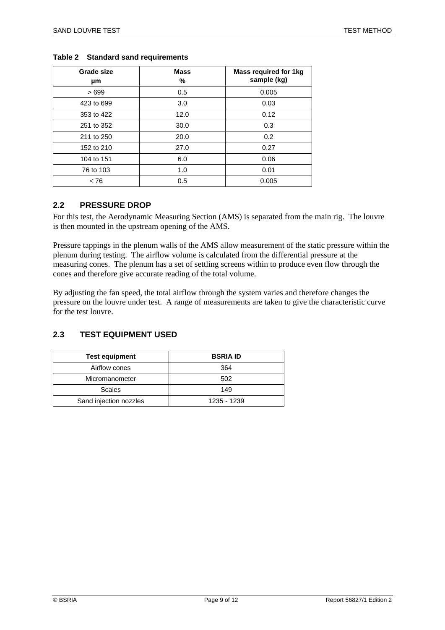| Grade size<br>μm | <b>Mass</b><br>℅ | Mass required for 1kg<br>sample (kg) |
|------------------|------------------|--------------------------------------|
| >699             | 0.5              | 0.005                                |
| 423 to 699       | 3.0              | 0.03                                 |
| 353 to 422       | 12.0             | 0.12                                 |
| 251 to 352       | 30.0             | 0.3                                  |
| 211 to 250       | 20.0             | 0.2                                  |
| 152 to 210       | 27.0             | 0.27                                 |
| 104 to 151       | 6.0              | 0.06                                 |
| 76 to 103        | 1.0              | 0.01                                 |
| ~< 76            | 0.5              | 0.005                                |

#### **Table 2 Standard sand requirements**

#### **2.2 PRESSURE DROP**

For this test, the Aerodynamic Measuring Section (AMS) is separated from the main rig. The louvre is then mounted in the upstream opening of the AMS.

Pressure tappings in the plenum walls of the AMS allow measurement of the static pressure within the plenum during testing. The airflow volume is calculated from the differential pressure at the measuring cones. The plenum has a set of settling screens within to produce even flow through the cones and therefore give accurate reading of the total volume.

By adjusting the fan speed, the total airflow through the system varies and therefore changes the pressure on the louvre under test. A range of measurements are taken to give the characteristic curve for the test louvre.

#### **2.3 TEST EQUIPMENT USED**

| <b>Test equipment</b>  | <b>BSRIA ID</b> |
|------------------------|-----------------|
| Airflow cones          | 364             |
| Micromanometer         | 502             |
| Scales                 | 149             |
| Sand injection nozzles | 1235 - 1239     |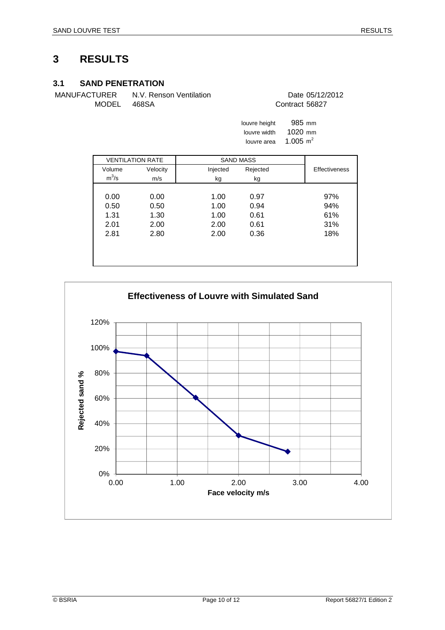#### **3.1 SAND PENETRATION**

MANUFACTURER N.V. Renson Ventilation Date 05/12/2012 MODEL 468SA Contract 56827

| louvre height | 985 mm      |
|---------------|-------------|
| louvre width  | $1020$ mm   |
| louvre area   | 1.005 $m^2$ |

|         | <b>VENTILATION RATE</b> | <b>SAND MASS</b> |          |                      |
|---------|-------------------------|------------------|----------|----------------------|
| Volume  | Velocity                | Injected         | Rejected | <b>Effectiveness</b> |
| $m^3/s$ | m/s                     | kg               | kg       |                      |
|         |                         |                  |          |                      |
| 0.00    | 0.00                    | 1.00             | 0.97     | 97%                  |
| 0.50    | 0.50                    | 1.00             | 0.94     | 94%                  |
| 1.31    | 1.30                    | 1.00             | 0.61     | 61%                  |
| 2.01    | 2.00                    | 2.00             | 0.61     | 31%                  |
| 2.81    | 2.80                    | 2.00             | 0.36     | 18%                  |
|         |                         |                  |          |                      |
|         |                         |                  |          |                      |
|         |                         |                  |          |                      |

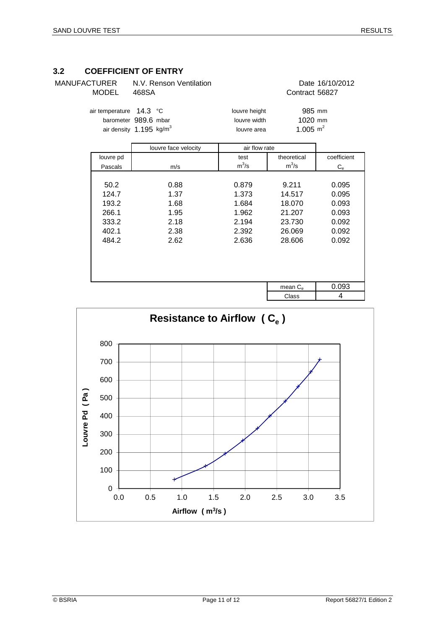#### **3.2 COEFFICIENT OF ENTRY**

| <b>MODEL</b>            | 468SA |  |  |
|-------------------------|-------|--|--|
| air temperature 14.3 °C |       |  |  |

| MANUFACTURER              | N.V. Renson Ventilation |               | Date 16/10/2012 |  |
|---------------------------|-------------------------|---------------|-----------------|--|
| MODEL                     | 468SA                   |               | Contract 56827  |  |
| air temperature $14.3$ °C |                         | louvre height | 985 mm          |  |

air density  $1.195 \text{ kg/m}^3$  louvre area

barometer 989.6 mbar louvre width  $1020 \text{ mm}$ <br>air density 1.195 kg/m<sup>3</sup> louvre area louvre area louvre 1.005 m<sup>2</sup>

|           | louvre face velocity | air flow rate |                   |             |
|-----------|----------------------|---------------|-------------------|-------------|
| louvre pd |                      | test          | theoretical       | coefficient |
| Pascals   | m/s                  | $m^3/s$       | $m^3/s$           | $C_{\rm e}$ |
|           |                      |               |                   |             |
| 50.2      | 0.88                 | 0.879         | 9.211             | 0.095       |
| 124.7     | 1.37                 | 1.373         | 14.517            | 0.095       |
| 193.2     | 1.68                 | 1.684         | 18.070            | 0.093       |
| 266.1     | 1.95                 | 1.962         | 21.207            | 0.093       |
| 333.2     | 2.18                 | 2.194         | 23.730            | 0.092       |
| 402.1     | 2.38                 | 2.392         | 26.069            | 0.092       |
| 484.2     | 2.62                 | 2.636         | 28.606            | 0.092       |
|           |                      |               |                   |             |
|           |                      |               |                   |             |
|           |                      |               |                   |             |
|           |                      |               |                   |             |
|           |                      |               | mean $C_{\alpha}$ | 0.093       |
|           |                      |               | Class             | 4           |